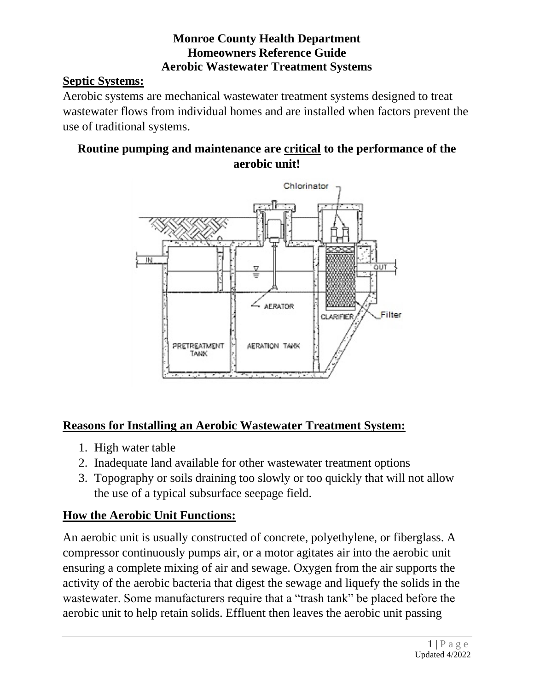## **Monroe County Health Department Homeowners Reference Guide Aerobic Wastewater Treatment Systems**

## **Septic Systems:**

Aerobic systems are mechanical wastewater treatment systems designed to treat wastewater flows from individual homes and are installed when factors prevent the use of traditional systems.

#### **Routine pumping and maintenance are critical to the performance of the aerobic unit!**



## **Reasons for Installing an Aerobic Wastewater Treatment System:**

- 1. High water table
- 2. Inadequate land available for other wastewater treatment options
- 3. Topography or soils draining too slowly or too quickly that will not allow the use of a typical subsurface seepage field.

## **How the Aerobic Unit Functions:**

An aerobic unit is usually constructed of concrete, polyethylene, or fiberglass. A compressor continuously pumps air, or a motor agitates air into the aerobic unit ensuring a complete mixing of air and sewage. Oxygen from the air supports the activity of the aerobic bacteria that digest the sewage and liquefy the solids in the wastewater. Some manufacturers require that a "trash tank" be placed before the aerobic unit to help retain solids. Effluent then leaves the aerobic unit passing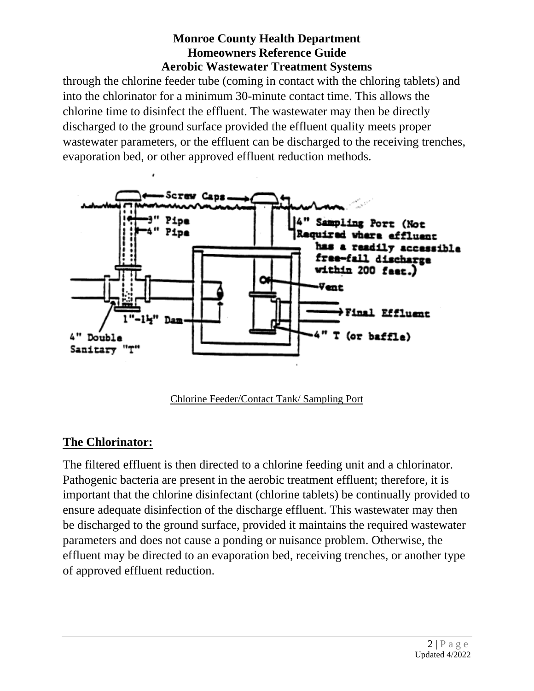### **Monroe County Health Department Homeowners Reference Guide Aerobic Wastewater Treatment Systems**

through the chlorine feeder tube (coming in contact with the chloring tablets) and into the chlorinator for a minimum 30-minute contact time. This allows the chlorine time to disinfect the effluent. The wastewater may then be directly discharged to the ground surface provided the effluent quality meets proper wastewater parameters, or the effluent can be discharged to the receiving trenches, evaporation bed, or other approved effluent reduction methods.



Chlorine Feeder/Contact Tank/ Sampling Port

## **The Chlorinator:**

The filtered effluent is then directed to a chlorine feeding unit and a chlorinator. Pathogenic bacteria are present in the aerobic treatment effluent; therefore, it is important that the chlorine disinfectant (chlorine tablets) be continually provided to ensure adequate disinfection of the discharge effluent. This wastewater may then be discharged to the ground surface, provided it maintains the required wastewater parameters and does not cause a ponding or nuisance problem. Otherwise, the effluent may be directed to an evaporation bed, receiving trenches, or another type of approved effluent reduction.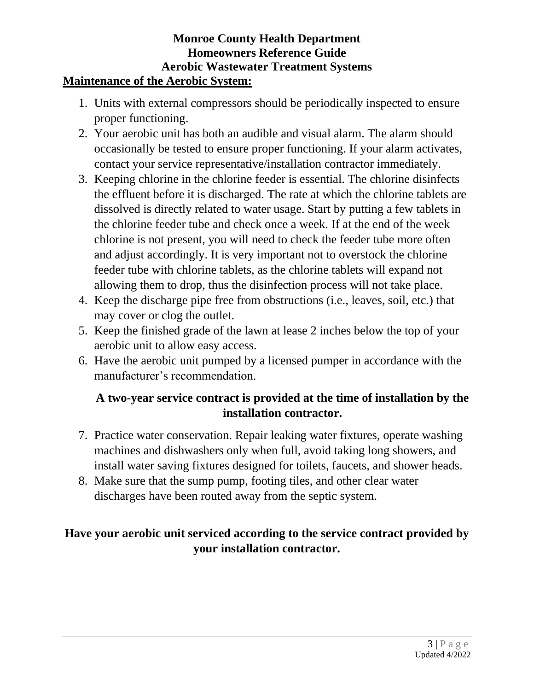#### **Monroe County Health Department Homeowners Reference Guide Aerobic Wastewater Treatment Systems Maintenance of the Aerobic System:**

- 1. Units with external compressors should be periodically inspected to ensure proper functioning.
- 2. Your aerobic unit has both an audible and visual alarm. The alarm should occasionally be tested to ensure proper functioning. If your alarm activates, contact your service representative/installation contractor immediately.
- 3. Keeping chlorine in the chlorine feeder is essential. The chlorine disinfects the effluent before it is discharged. The rate at which the chlorine tablets are dissolved is directly related to water usage. Start by putting a few tablets in the chlorine feeder tube and check once a week. If at the end of the week chlorine is not present, you will need to check the feeder tube more often and adjust accordingly. It is very important not to overstock the chlorine feeder tube with chlorine tablets, as the chlorine tablets will expand not allowing them to drop, thus the disinfection process will not take place.
- 4. Keep the discharge pipe free from obstructions (i.e., leaves, soil, etc.) that may cover or clog the outlet.
- 5. Keep the finished grade of the lawn at lease 2 inches below the top of your aerobic unit to allow easy access.
- 6. Have the aerobic unit pumped by a licensed pumper in accordance with the manufacturer's recommendation.

## **A two-year service contract is provided at the time of installation by the installation contractor.**

- 7. Practice water conservation. Repair leaking water fixtures, operate washing machines and dishwashers only when full, avoid taking long showers, and install water saving fixtures designed for toilets, faucets, and shower heads.
- 8. Make sure that the sump pump, footing tiles, and other clear water discharges have been routed away from the septic system.

## **Have your aerobic unit serviced according to the service contract provided by your installation contractor.**